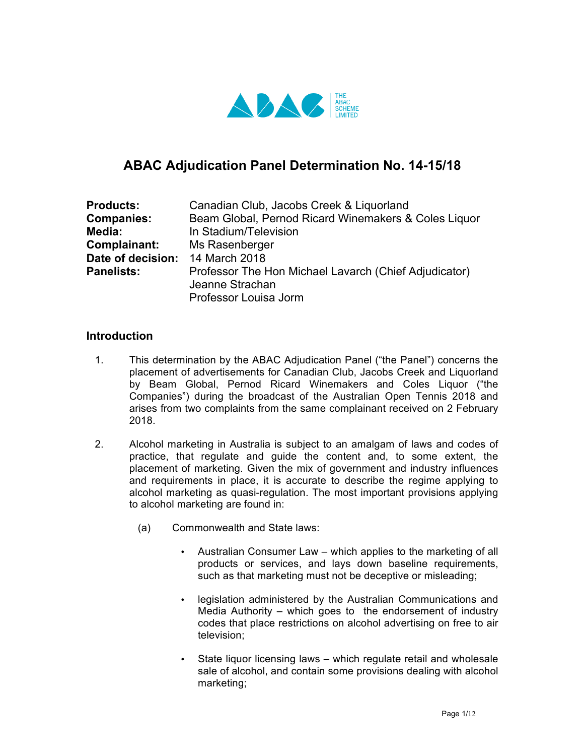

# **ABAC Adjudication Panel Determination No. 14-15/18**

| <b>Products:</b>  | Canadian Club, Jacobs Creek & Liquorland              |
|-------------------|-------------------------------------------------------|
| <b>Companies:</b> | Beam Global, Pernod Ricard Winemakers & Coles Liquor  |
| Media:            | In Stadium/Television                                 |
| Complainant:      | Ms Rasenberger                                        |
| Date of decision: | 14 March 2018                                         |
| <b>Panelists:</b> | Professor The Hon Michael Lavarch (Chief Adjudicator) |
|                   | Jeanne Strachan                                       |
|                   | Professor Louisa Jorm                                 |

#### **Introduction**

- 1. This determination by the ABAC Adjudication Panel ("the Panel") concerns the placement of advertisements for Canadian Club, Jacobs Creek and Liquorland by Beam Global, Pernod Ricard Winemakers and Coles Liquor ("the Companies") during the broadcast of the Australian Open Tennis 2018 and arises from two complaints from the same complainant received on 2 February 2018.
- 2. Alcohol marketing in Australia is subject to an amalgam of laws and codes of practice, that regulate and guide the content and, to some extent, the placement of marketing. Given the mix of government and industry influences and requirements in place, it is accurate to describe the regime applying to alcohol marketing as quasi-regulation. The most important provisions applying to alcohol marketing are found in:
	- (a) Commonwealth and State laws:
		- Australian Consumer Law which applies to the marketing of all products or services, and lays down baseline requirements, such as that marketing must not be deceptive or misleading;
		- legislation administered by the Australian Communications and Media Authority – which goes to the endorsement of industry codes that place restrictions on alcohol advertising on free to air television;
		- State liquor licensing laws which regulate retail and wholesale sale of alcohol, and contain some provisions dealing with alcohol marketing;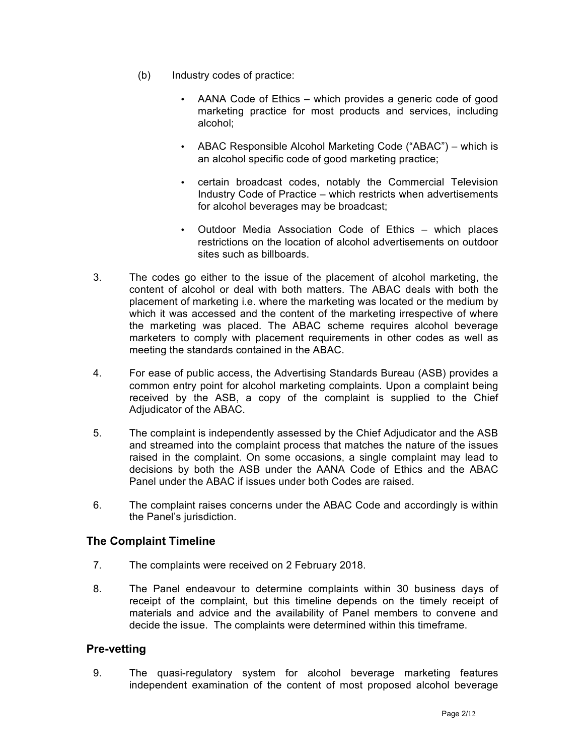- (b) Industry codes of practice:
	- AANA Code of Ethics which provides a generic code of good marketing practice for most products and services, including alcohol;
	- ABAC Responsible Alcohol Marketing Code ("ABAC") which is an alcohol specific code of good marketing practice;
	- certain broadcast codes, notably the Commercial Television Industry Code of Practice – which restricts when advertisements for alcohol beverages may be broadcast;
	- Outdoor Media Association Code of Ethics which places restrictions on the location of alcohol advertisements on outdoor sites such as billboards.
- 3. The codes go either to the issue of the placement of alcohol marketing, the content of alcohol or deal with both matters. The ABAC deals with both the placement of marketing i.e. where the marketing was located or the medium by which it was accessed and the content of the marketing irrespective of where the marketing was placed. The ABAC scheme requires alcohol beverage marketers to comply with placement requirements in other codes as well as meeting the standards contained in the ABAC.
- 4. For ease of public access, the Advertising Standards Bureau (ASB) provides a common entry point for alcohol marketing complaints. Upon a complaint being received by the ASB, a copy of the complaint is supplied to the Chief Adjudicator of the ABAC.
- 5. The complaint is independently assessed by the Chief Adjudicator and the ASB and streamed into the complaint process that matches the nature of the issues raised in the complaint. On some occasions, a single complaint may lead to decisions by both the ASB under the AANA Code of Ethics and the ABAC Panel under the ABAC if issues under both Codes are raised.
- 6. The complaint raises concerns under the ABAC Code and accordingly is within the Panel's jurisdiction.

## **The Complaint Timeline**

- 7. The complaints were received on 2 February 2018.
- 8. The Panel endeavour to determine complaints within 30 business days of receipt of the complaint, but this timeline depends on the timely receipt of materials and advice and the availability of Panel members to convene and decide the issue. The complaints were determined within this timeframe.

### **Pre-vetting**

9. The quasi-regulatory system for alcohol beverage marketing features independent examination of the content of most proposed alcohol beverage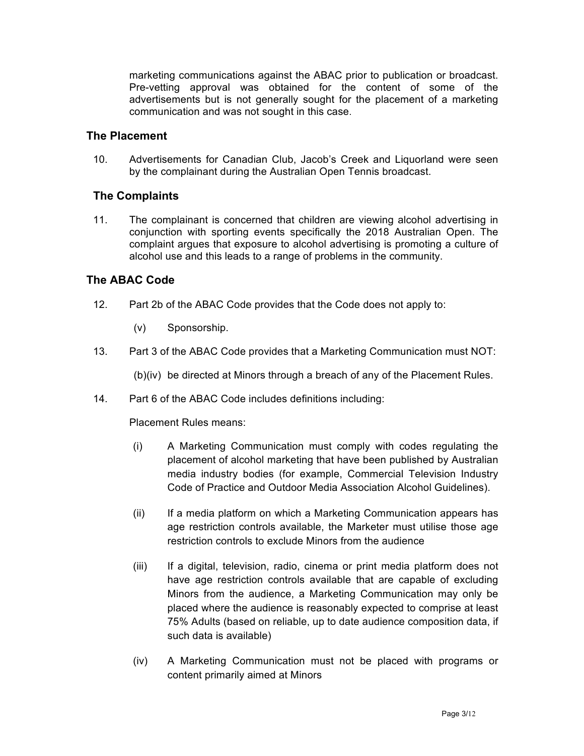marketing communications against the ABAC prior to publication or broadcast. Pre-vetting approval was obtained for the content of some of the advertisements but is not generally sought for the placement of a marketing communication and was not sought in this case.

## **The Placement**

10. Advertisements for Canadian Club, Jacob's Creek and Liquorland were seen by the complainant during the Australian Open Tennis broadcast.

## **The Complaints**

11. The complainant is concerned that children are viewing alcohol advertising in conjunction with sporting events specifically the 2018 Australian Open. The complaint argues that exposure to alcohol advertising is promoting a culture of alcohol use and this leads to a range of problems in the community.

## **The ABAC Code**

- 12. Part 2b of the ABAC Code provides that the Code does not apply to:
	- (v) Sponsorship.
- 13. Part 3 of the ABAC Code provides that a Marketing Communication must NOT:

(b)(iv) be directed at Minors through a breach of any of the Placement Rules.

14. Part 6 of the ABAC Code includes definitions including:

Placement Rules means:

- (i) A Marketing Communication must comply with codes regulating the placement of alcohol marketing that have been published by Australian media industry bodies (for example, Commercial Television Industry Code of Practice and Outdoor Media Association Alcohol Guidelines).
- (ii) If a media platform on which a Marketing Communication appears has age restriction controls available, the Marketer must utilise those age restriction controls to exclude Minors from the audience
- (iii) If a digital, television, radio, cinema or print media platform does not have age restriction controls available that are capable of excluding Minors from the audience, a Marketing Communication may only be placed where the audience is reasonably expected to comprise at least 75% Adults (based on reliable, up to date audience composition data, if such data is available)
- (iv) A Marketing Communication must not be placed with programs or content primarily aimed at Minors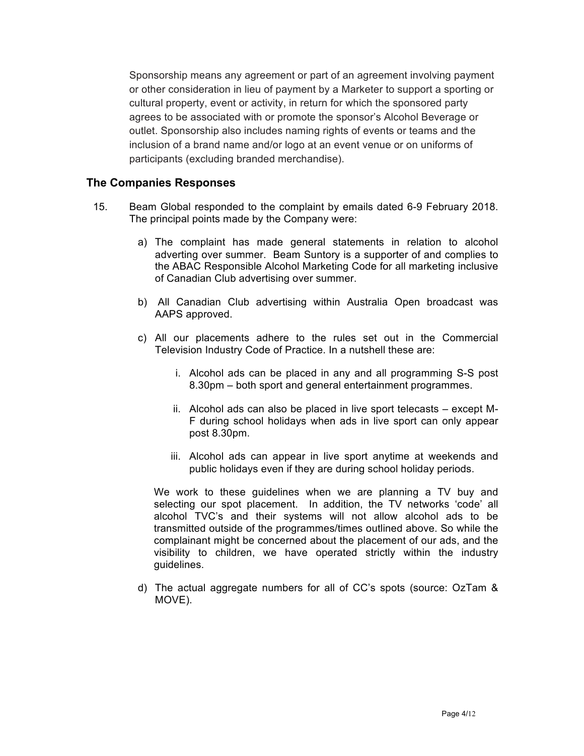Sponsorship means any agreement or part of an agreement involving payment or other consideration in lieu of payment by a Marketer to support a sporting or cultural property, event or activity, in return for which the sponsored party agrees to be associated with or promote the sponsor's Alcohol Beverage or outlet. Sponsorship also includes naming rights of events or teams and the inclusion of a brand name and/or logo at an event venue or on uniforms of participants (excluding branded merchandise).

### **The Companies Responses**

- 15. Beam Global responded to the complaint by emails dated 6-9 February 2018. The principal points made by the Company were:
	- a) The complaint has made general statements in relation to alcohol adverting over summer. Beam Suntory is a supporter of and complies to the ABAC Responsible Alcohol Marketing Code for all marketing inclusive of Canadian Club advertising over summer.
	- b) All Canadian Club advertising within Australia Open broadcast was AAPS approved.
	- c) All our placements adhere to the rules set out in the Commercial Television Industry Code of Practice. In a nutshell these are:
		- i. Alcohol ads can be placed in any and all programming S-S post 8.30pm – both sport and general entertainment programmes.
		- ii. Alcohol ads can also be placed in live sport telecasts except M-F during school holidays when ads in live sport can only appear post 8.30pm.
		- iii. Alcohol ads can appear in live sport anytime at weekends and public holidays even if they are during school holiday periods.

We work to these guidelines when we are planning a TV buy and selecting our spot placement. In addition, the TV networks 'code' all alcohol TVC's and their systems will not allow alcohol ads to be transmitted outside of the programmes/times outlined above. So while the complainant might be concerned about the placement of our ads, and the visibility to children, we have operated strictly within the industry guidelines.

d) The actual aggregate numbers for all of CC's spots (source: OzTam & MOVE).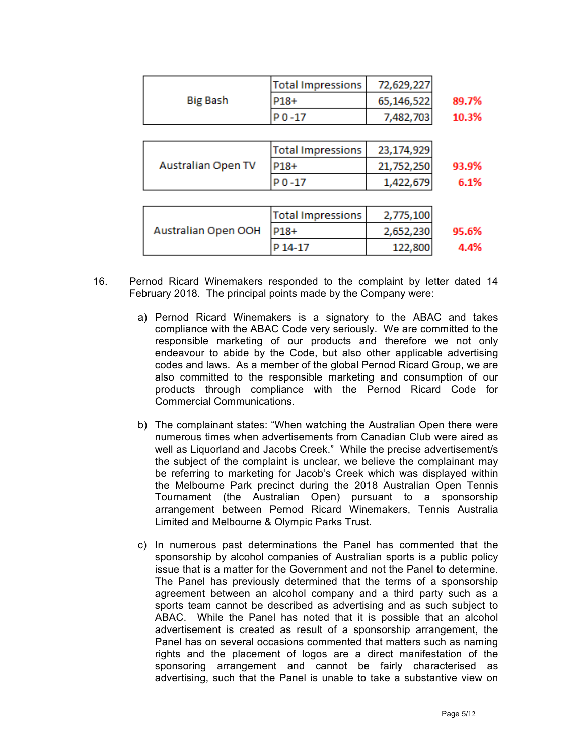|                           | <b>Total Impressions</b> | 72,629,227 |       |  |  |  |
|---------------------------|--------------------------|------------|-------|--|--|--|
| <b>Big Bash</b>           | P18+                     | 65,146,522 | 89.7% |  |  |  |
|                           | P0-17                    | 7,482,703  | 10.3% |  |  |  |
|                           |                          |            |       |  |  |  |
|                           | <b>Total Impressions</b> | 23,174,929 |       |  |  |  |
| <b>Australian Open TV</b> | P18+                     | 21,752,250 | 93.9% |  |  |  |
|                           | P0-17                    | 1,422,679  | 6.1%  |  |  |  |
|                           |                          |            |       |  |  |  |
|                           | <b>Total Impressions</b> | 2,775,100  |       |  |  |  |
| Australian Open OOH       | P18+                     | 2,652,230  | 95.6% |  |  |  |
|                           | P 14-17                  | 122,800    | 4.4%  |  |  |  |

- 16. Pernod Ricard Winemakers responded to the complaint by letter dated 14 February 2018. The principal points made by the Company were:
	- a) Pernod Ricard Winemakers is a signatory to the ABAC and takes compliance with the ABAC Code very seriously. We are committed to the responsible marketing of our products and therefore we not only endeavour to abide by the Code, but also other applicable advertising codes and laws. As a member of the global Pernod Ricard Group, we are also committed to the responsible marketing and consumption of our products through compliance with the Pernod Ricard Code for Commercial Communications.
	- b) The complainant states: "When watching the Australian Open there were numerous times when advertisements from Canadian Club were aired as well as Liquorland and Jacobs Creek." While the precise advertisement/s the subject of the complaint is unclear, we believe the complainant may be referring to marketing for Jacob's Creek which was displayed within the Melbourne Park precinct during the 2018 Australian Open Tennis Tournament (the Australian Open) pursuant to a sponsorship arrangement between Pernod Ricard Winemakers, Tennis Australia Limited and Melbourne & Olympic Parks Trust.
	- c) In numerous past determinations the Panel has commented that the sponsorship by alcohol companies of Australian sports is a public policy issue that is a matter for the Government and not the Panel to determine. The Panel has previously determined that the terms of a sponsorship agreement between an alcohol company and a third party such as a sports team cannot be described as advertising and as such subject to ABAC. While the Panel has noted that it is possible that an alcohol advertisement is created as result of a sponsorship arrangement, the Panel has on several occasions commented that matters such as naming rights and the placement of logos are a direct manifestation of the sponsoring arrangement and cannot be fairly characterised as advertising, such that the Panel is unable to take a substantive view on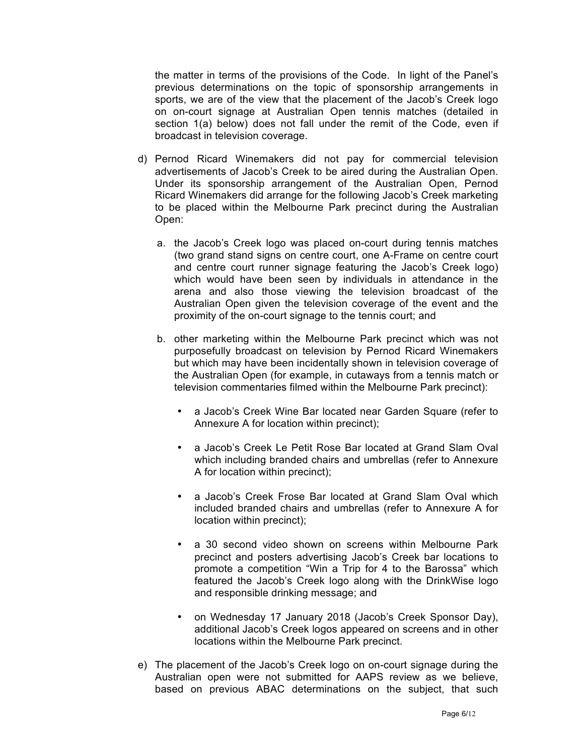the matter in terms of the provisions of the Code. In light of the Panel's previous determinations on the topic of sponsorship arrangements in sports, we are of the view that the placement of the Jacob's Creek logo on on-court signage at Australian Open tennis matches (detailed in section 1(a) below) does not fall under the remit of the Code, even if broadcast in television coverage.

- d) Pernod Ricard Winemakers did not pay for commercial television advertisements of Jacob's Creek to be aired during the Australian Open. Under its sponsorship arrangement of the Australian Open, Pernod Ricard Winemakers did arrange for the following Jacob's Creek marketing to be placed within the Melbourne Park precinct during the Australian Open:
	- a. the Jacob's Creek logo was placed on-court during tennis matches (two grand stand signs on centre court, one A-Frame on centre court and centre court runner signage featuring the Jacob's Creek logo) which would have been seen by individuals in attendance in the arena and also those viewing the television broadcast of the Australian Open given the television coverage of the event and the proximity of the on-court signage to the tennis court; and
	- b. other marketing within the Melbourne Park precinct which was not purposefully broadcast on television by Pernod Ricard Winemakers but which may have been incidentally shown in television coverage of the Australian Open (for example, in cutaways from a tennis match or television commentaries filmed within the Melbourne Park precinct):
		- a Jacob's Creek Wine Bar located near Garden Square (refer to Annexure A for location within precinct);
		- a Jacob's Creek Le Petit Rose Bar located at Grand Slam Oval which including branded chairs and umbrellas (refer to Annexure A for location within precinct);
		- a Jacob's Creek Frose Bar located at Grand Slam Oval which included branded chairs and umbrellas (refer to Annexure A for location within precinct);
		- a 30 second video shown on screens within Melbourne Park precinct and posters advertising Jacob's Creek bar locations to promote a competition "Win a Trip for 4 to the Barossa" which featured the Jacob's Creek logo along with the DrinkWise logo and responsible drinking message; and
		- on Wednesday 17 January 2018 (Jacob's Creek Sponsor Day), additional Jacob's Creek logos appeared on screens and in other locations within the Melbourne Park precinct.
- e) The placement of the Jacob's Creek logo on on-court signage during the Australian open were not submitted for AAPS review as we believe, based on previous ABAC determinations on the subject, that such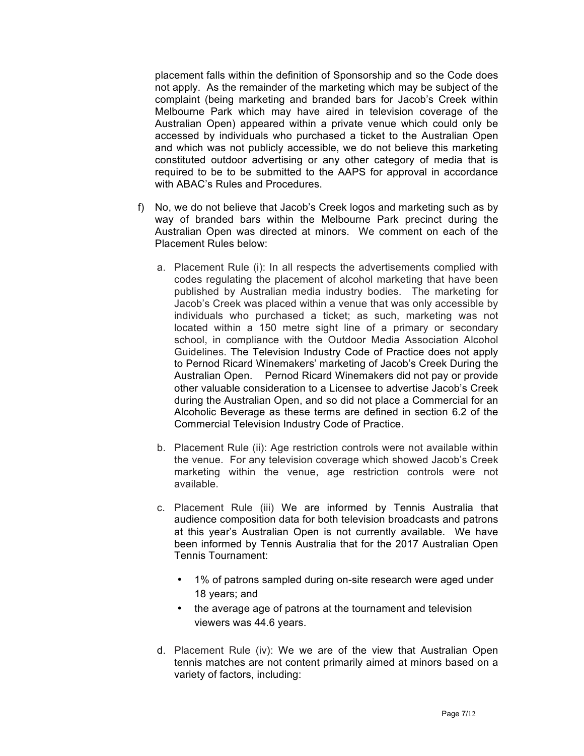placement falls within the definition of Sponsorship and so the Code does not apply. As the remainder of the marketing which may be subject of the complaint (being marketing and branded bars for Jacob's Creek within Melbourne Park which may have aired in television coverage of the Australian Open) appeared within a private venue which could only be accessed by individuals who purchased a ticket to the Australian Open and which was not publicly accessible, we do not believe this marketing constituted outdoor advertising or any other category of media that is required to be to be submitted to the AAPS for approval in accordance with ABAC's Rules and Procedures.

- f) No, we do not believe that Jacob's Creek logos and marketing such as by way of branded bars within the Melbourne Park precinct during the Australian Open was directed at minors. We comment on each of the Placement Rules below:
	- a. Placement Rule (i): In all respects the advertisements complied with codes regulating the placement of alcohol marketing that have been published by Australian media industry bodies. The marketing for Jacob's Creek was placed within a venue that was only accessible by individuals who purchased a ticket; as such, marketing was not located within a 150 metre sight line of a primary or secondary school, in compliance with the Outdoor Media Association Alcohol Guidelines. The Television Industry Code of Practice does not apply to Pernod Ricard Winemakers' marketing of Jacob's Creek During the Australian Open. Pernod Ricard Winemakers did not pay or provide other valuable consideration to a Licensee to advertise Jacob's Creek during the Australian Open, and so did not place a Commercial for an Alcoholic Beverage as these terms are defined in section 6.2 of the Commercial Television Industry Code of Practice.
	- b. Placement Rule (ii): Age restriction controls were not available within the venue. For any television coverage which showed Jacob's Creek marketing within the venue, age restriction controls were not available.
	- c. Placement Rule (iii) We are informed by Tennis Australia that audience composition data for both television broadcasts and patrons at this year's Australian Open is not currently available. We have been informed by Tennis Australia that for the 2017 Australian Open Tennis Tournament:
		- 1% of patrons sampled during on-site research were aged under 18 years; and
		- the average age of patrons at the tournament and television viewers was 44.6 years.
	- d. Placement Rule (iv): We we are of the view that Australian Open tennis matches are not content primarily aimed at minors based on a variety of factors, including: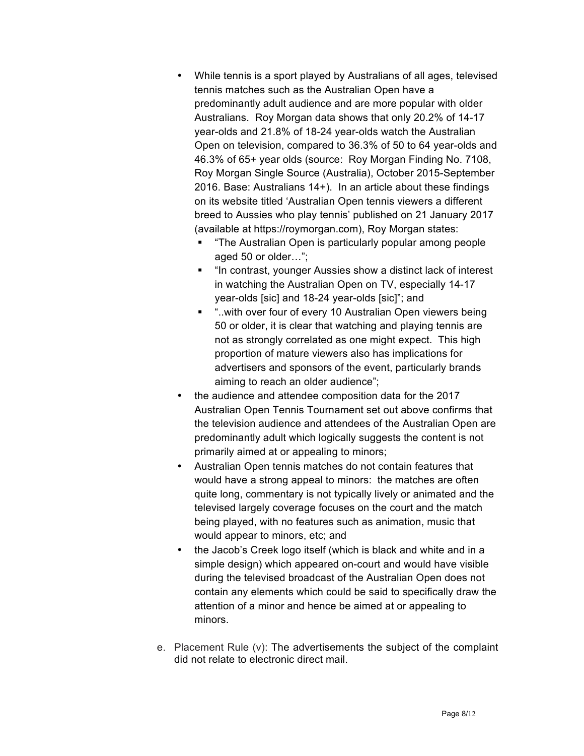- While tennis is a sport played by Australians of all ages, televised tennis matches such as the Australian Open have a predominantly adult audience and are more popular with older Australians. Roy Morgan data shows that only 20.2% of 14-17 year-olds and 21.8% of 18-24 year-olds watch the Australian Open on television, compared to 36.3% of 50 to 64 year-olds and 46.3% of 65+ year olds (source: Roy Morgan Finding No. 7108, Roy Morgan Single Source (Australia), October 2015-September 2016. Base: Australians 14+). In an article about these findings on its website titled 'Australian Open tennis viewers a different breed to Aussies who play tennis' published on 21 January 2017 (available at https://roymorgan.com), Roy Morgan states:
	- § "The Australian Open is particularly popular among people aged 50 or older…";
	- "In contrast, younger Aussies show a distinct lack of interest in watching the Australian Open on TV, especially 14-17 year-olds [sic] and 18-24 year-olds [sic]"; and
	- "..with over four of every 10 Australian Open viewers being 50 or older, it is clear that watching and playing tennis are not as strongly correlated as one might expect. This high proportion of mature viewers also has implications for advertisers and sponsors of the event, particularly brands aiming to reach an older audience";
- the audience and attendee composition data for the 2017 Australian Open Tennis Tournament set out above confirms that the television audience and attendees of the Australian Open are predominantly adult which logically suggests the content is not primarily aimed at or appealing to minors;
- Australian Open tennis matches do not contain features that would have a strong appeal to minors: the matches are often quite long, commentary is not typically lively or animated and the televised largely coverage focuses on the court and the match being played, with no features such as animation, music that would appear to minors, etc; and
- the Jacob's Creek logo itself (which is black and white and in a simple design) which appeared on-court and would have visible during the televised broadcast of the Australian Open does not contain any elements which could be said to specifically draw the attention of a minor and hence be aimed at or appealing to minors.
- e. Placement Rule (v): The advertisements the subject of the complaint did not relate to electronic direct mail.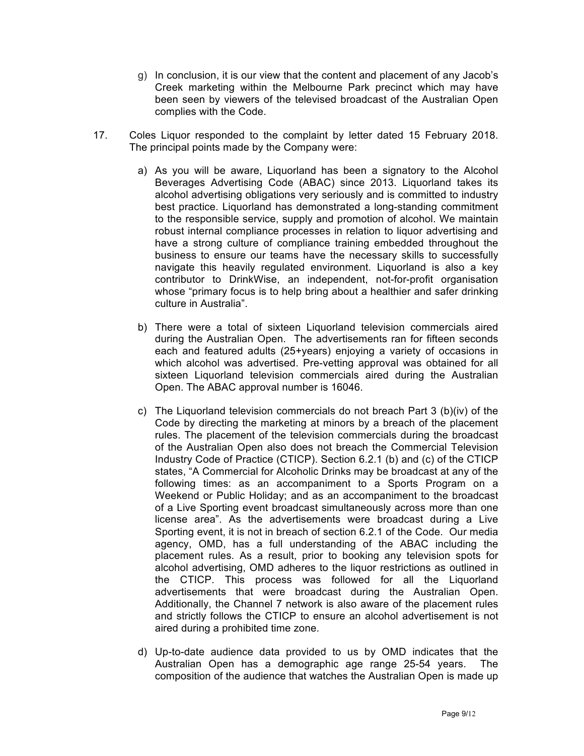- g) In conclusion, it is our view that the content and placement of any Jacob's Creek marketing within the Melbourne Park precinct which may have been seen by viewers of the televised broadcast of the Australian Open complies with the Code.
- 17. Coles Liquor responded to the complaint by letter dated 15 February 2018. The principal points made by the Company were:
	- a) As you will be aware, Liquorland has been a signatory to the Alcohol Beverages Advertising Code (ABAC) since 2013. Liquorland takes its alcohol advertising obligations very seriously and is committed to industry best practice. Liquorland has demonstrated a long-standing commitment to the responsible service, supply and promotion of alcohol. We maintain robust internal compliance processes in relation to liquor advertising and have a strong culture of compliance training embedded throughout the business to ensure our teams have the necessary skills to successfully navigate this heavily regulated environment. Liquorland is also a key contributor to DrinkWise, an independent, not-for-profit organisation whose "primary focus is to help bring about a healthier and safer drinking culture in Australia".
	- b) There were a total of sixteen Liquorland television commercials aired during the Australian Open. The advertisements ran for fifteen seconds each and featured adults (25+years) enjoying a variety of occasions in which alcohol was advertised. Pre-vetting approval was obtained for all sixteen Liquorland television commercials aired during the Australian Open. The ABAC approval number is 16046.
	- c) The Liquorland television commercials do not breach Part 3 (b)(iv) of the Code by directing the marketing at minors by a breach of the placement rules. The placement of the television commercials during the broadcast of the Australian Open also does not breach the Commercial Television Industry Code of Practice (CTICP). Section 6.2.1 (b) and (c) of the CTICP states, "A Commercial for Alcoholic Drinks may be broadcast at any of the following times: as an accompaniment to a Sports Program on a Weekend or Public Holiday; and as an accompaniment to the broadcast of a Live Sporting event broadcast simultaneously across more than one license area". As the advertisements were broadcast during a Live Sporting event, it is not in breach of section 6.2.1 of the Code. Our media agency, OMD, has a full understanding of the ABAC including the placement rules. As a result, prior to booking any television spots for alcohol advertising, OMD adheres to the liquor restrictions as outlined in the CTICP. This process was followed for all the Liquorland advertisements that were broadcast during the Australian Open. Additionally, the Channel 7 network is also aware of the placement rules and strictly follows the CTICP to ensure an alcohol advertisement is not aired during a prohibited time zone.
	- d) Up-to-date audience data provided to us by OMD indicates that the Australian Open has a demographic age range 25-54 years. The composition of the audience that watches the Australian Open is made up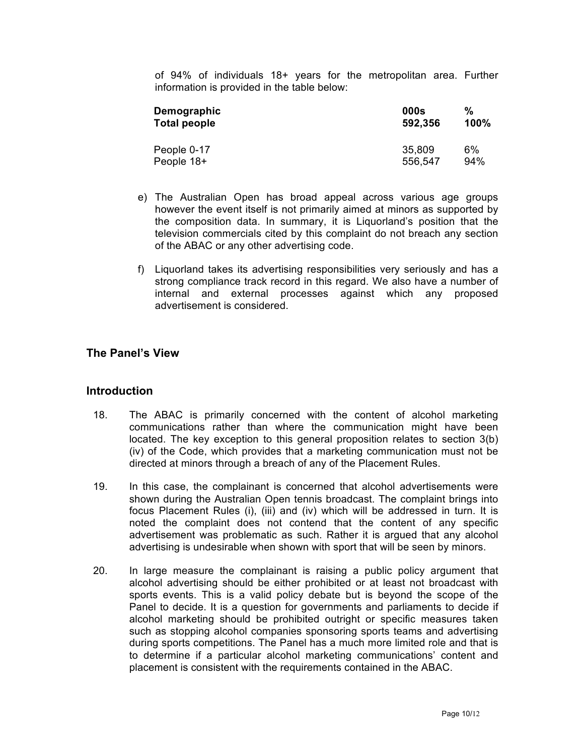of 94% of individuals 18+ years for the metropolitan area. Further information is provided in the table below:

| Demographic  | 000s    | %    |
|--------------|---------|------|
| Total people | 592,356 | 100% |
| People 0-17  | 35,809  | 6%   |
| People 18+   | 556,547 | 94%  |

- e) The Australian Open has broad appeal across various age groups however the event itself is not primarily aimed at minors as supported by the composition data. In summary, it is Liquorland's position that the television commercials cited by this complaint do not breach any section of the ABAC or any other advertising code.
- f) Liquorland takes its advertising responsibilities very seriously and has a strong compliance track record in this regard. We also have a number of internal and external processes against which any proposed advertisement is considered.

## **The Panel's View**

#### **Introduction**

- 18. The ABAC is primarily concerned with the content of alcohol marketing communications rather than where the communication might have been located. The key exception to this general proposition relates to section 3(b) (iv) of the Code, which provides that a marketing communication must not be directed at minors through a breach of any of the Placement Rules.
- 19. In this case, the complainant is concerned that alcohol advertisements were shown during the Australian Open tennis broadcast. The complaint brings into focus Placement Rules (i), (iii) and (iv) which will be addressed in turn. It is noted the complaint does not contend that the content of any specific advertisement was problematic as such. Rather it is argued that any alcohol advertising is undesirable when shown with sport that will be seen by minors.
- 20. In large measure the complainant is raising a public policy argument that alcohol advertising should be either prohibited or at least not broadcast with sports events. This is a valid policy debate but is beyond the scope of the Panel to decide. It is a question for governments and parliaments to decide if alcohol marketing should be prohibited outright or specific measures taken such as stopping alcohol companies sponsoring sports teams and advertising during sports competitions. The Panel has a much more limited role and that is to determine if a particular alcohol marketing communications' content and placement is consistent with the requirements contained in the ABAC.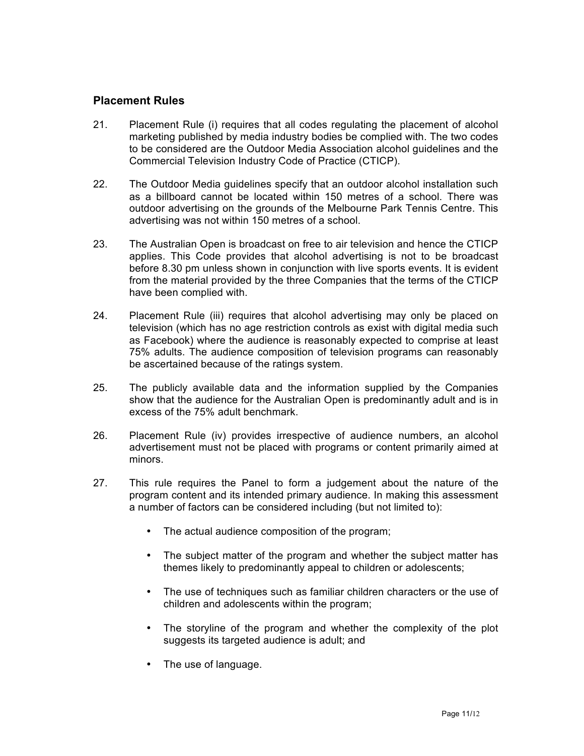#### **Placement Rules**

- 21. Placement Rule (i) requires that all codes regulating the placement of alcohol marketing published by media industry bodies be complied with. The two codes to be considered are the Outdoor Media Association alcohol guidelines and the Commercial Television Industry Code of Practice (CTICP).
- 22. The Outdoor Media guidelines specify that an outdoor alcohol installation such as a billboard cannot be located within 150 metres of a school. There was outdoor advertising on the grounds of the Melbourne Park Tennis Centre. This advertising was not within 150 metres of a school.
- 23. The Australian Open is broadcast on free to air television and hence the CTICP applies. This Code provides that alcohol advertising is not to be broadcast before 8.30 pm unless shown in conjunction with live sports events. It is evident from the material provided by the three Companies that the terms of the CTICP have been complied with.
- 24. Placement Rule (iii) requires that alcohol advertising may only be placed on television (which has no age restriction controls as exist with digital media such as Facebook) where the audience is reasonably expected to comprise at least 75% adults. The audience composition of television programs can reasonably be ascertained because of the ratings system.
- 25. The publicly available data and the information supplied by the Companies show that the audience for the Australian Open is predominantly adult and is in excess of the 75% adult benchmark.
- 26. Placement Rule (iv) provides irrespective of audience numbers, an alcohol advertisement must not be placed with programs or content primarily aimed at minors.
- 27. This rule requires the Panel to form a judgement about the nature of the program content and its intended primary audience. In making this assessment a number of factors can be considered including (but not limited to):
	- The actual audience composition of the program;
	- The subject matter of the program and whether the subject matter has themes likely to predominantly appeal to children or adolescents;
	- The use of techniques such as familiar children characters or the use of children and adolescents within the program;
	- The storyline of the program and whether the complexity of the plot suggests its targeted audience is adult; and
	- The use of language.